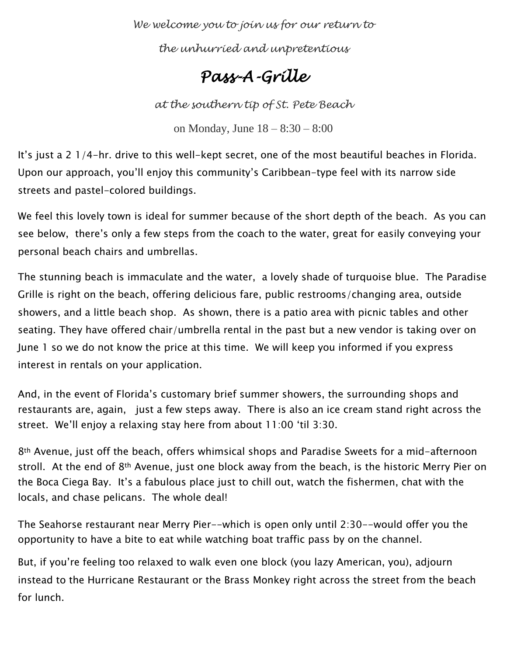*We welcome you to join us for our return to* 

*the unhurried and unpretentious* 

# *Pass-A-Grille*

*at the southern tip of St. Pete Beach*

on Monday, June 18 – 8:30 – 8:00

It's just a 2 1/4-hr. drive to this well-kept secret, one of the most beautiful beaches in Florida. Upon our approach, you'll enjoy this community's Caribbean-type feel with its narrow side streets and pastel-colored buildings.

We feel this lovely town is ideal for summer because of the short depth of the beach. As you can see below, there's only a few steps from the coach to the water, great for easily conveying your personal beach chairs and umbrellas.

The stunning beach is immaculate and the water, a lovely shade of turquoise blue. The Paradise Grille is right on the beach, offering delicious fare, public restrooms/changing area, outside showers, and a little beach shop. As shown, there is a patio area with picnic tables and other seating. They have offered chair/umbrella rental in the past but a new vendor is taking over on June 1 so we do not know the price at this time. We will keep you informed if you express interest in rentals on your application.

And, in the event of Florida's customary brief summer showers, the surrounding shops and restaurants are, again, just a few steps away. There is also an ice cream stand right across the street. We'll enjoy a relaxing stay here from about 11:00 'til 3:30.

8th Avenue, just off the beach, offers whimsical shops and Paradise Sweets for a mid-afternoon stroll. At the end of 8<sup>th</sup> Avenue, just one block away from the beach, is the historic Merry Pier on the Boca Ciega Bay. It's a fabulous place just to chill out, watch the fishermen, chat with the locals, and chase pelicans. The whole deal!

The Seahorse restaurant near Merry Pier--which is open only until 2:30--would offer you the opportunity to have a bite to eat while watching boat traffic pass by on the channel.

But, if you're feeling too relaxed to walk even one block (you lazy American, you), adjourn instead to the Hurricane Restaurant or the Brass Monkey right across the street from the beach for lunch.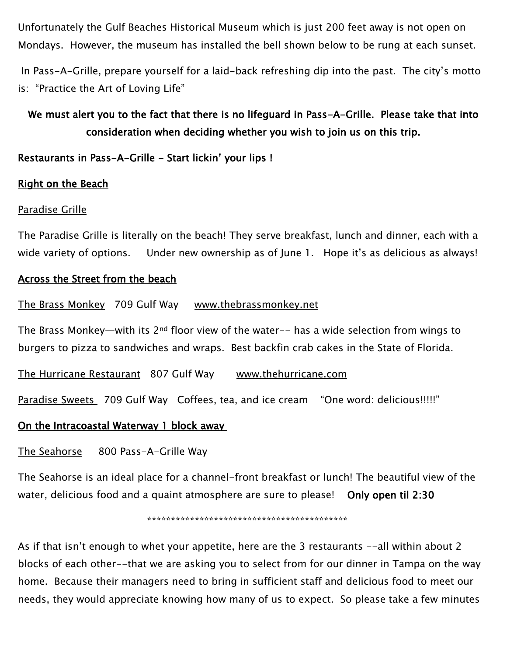Unfortunately the Gulf Beaches Historical Museum which is just 200 feet away is not open on Mondays. However, the museum has installed the bell shown below to be rung at each sunset.

In Pass-A-Grille, prepare yourself for a laid-back refreshing dip into the past. The city's motto is: "Practice the Art of Loving Life"

# We must alert you to the fact that there is no lifeguard in Pass-A-Grille. Please take that into consideration when deciding whether you wish to join us on this trip.

## Restaurants in Pass-A-Grille - Start lickin' your lips !

### Right on the Beach

#### Paradise Grille

The Paradise Grille is literally on the beach! They serve breakfast, lunch and dinner, each with a wide variety of options. Under new ownership as of June 1. Hope it's as delicious as always!

#### Across the Street from the beach

#### The Brass Monkey 709 Gulf Way [www.thebrassmonkey.net](http://www.thebrassmonkey.net/)

The Brass Monkey—with its  $2^{nd}$  floor view of the water-- has a wide selection from wings to burgers to pizza to sandwiches and wraps. Best backfin crab cakes in the State of Florida.

The Hurricane Restaurant 807 Gulf Way [www.thehurricane.com](http://www.thehurricane.com/)

Paradise Sweets 709 Gulf Way Coffees, tea, and ice cream "One word: delicious!!!!!"

#### On the Intracoastal Waterway 1 block away

The Seahorse 800 Pass-A-Grille Way

The Seahorse is an ideal place for a channel-front breakfast or lunch! The beautiful view of the water, delicious food and a quaint atmosphere are sure to please! Only open til 2:30

\*\*\*\*\*\*\*\*\*\*\*\*\*\*\*\*\*\*\*\*\*\*\*\*\*\*\*\*\*\*\*\*\*\*\*\*\*\*\*\*\*\*

As if that isn't enough to whet your appetite, here are the 3 restaurants --all within about 2 blocks of each other--that we are asking you to select from for our dinner in Tampa on the way home. Because their managers need to bring in sufficient staff and delicious food to meet our needs, they would appreciate knowing how many of us to expect. So please take a few minutes